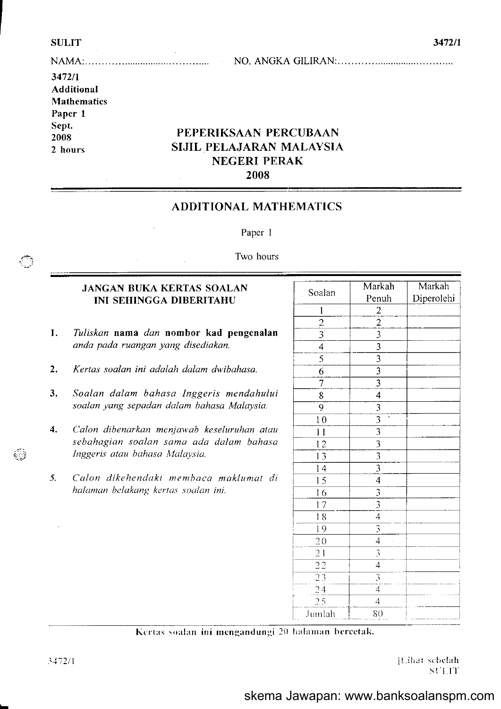€

69

|  | NO. |
|--|-----|

## 3472/1 **Additional Mathematics** Paper 1 Sept. 2008 2 hours

# PEPERIKSAAN PERCUBAAN SIJIL PELAJARAN MALAYSIA **NEGERI PERAK** 2008

# **ADDITIONAL MATHEMATICS**

Paper 1

## Two hours

## **JANGAN BUKA KERTAS SOALAN INI SEHINGGA DIBERITAHU**

- Tuliskan nama dan nombor kad pengenalan 1. anda pada ruangan yang disediakan.
- Kertas soalan ini adalah dalam dwibahasa.  $2.$
- $3.$ Soalan dalam bahasa Inggeris mendahului soalan yang sepadan dalam bahasa Malaysia.
- Calon dibenarkan menjawab keseluruhan atau  $\overline{4}$ . sebahagian soalan sama ada dalam bahasa Inggeris atau bahasa Malaysia.
- 5. Calon dikehendaki membaca maklumat di halaman belakang kertas soalan ini.

| Soalan              | Markah                                                                | Markah     |
|---------------------|-----------------------------------------------------------------------|------------|
|                     | Penuh                                                                 | Diperolehi |
| $\mathbf 1$         |                                                                       |            |
| $\overline{c}$      |                                                                       |            |
| 3                   | $\frac{2}{2}$ $\frac{2}{3}$ $\frac{3}{3}$ $\frac{3}{3}$ $\frac{3}{3}$ |            |
| $\overline{4}$      |                                                                       |            |
| $\overline{5}$      |                                                                       |            |
| $\overline{6}$      |                                                                       |            |
| 7                   |                                                                       |            |
| 8                   | $\overline{4}$                                                        |            |
| $\overline{9}$      | $\overline{3}$                                                        |            |
| 1 <sub>0</sub>      | $\frac{3}{3}$ $\frac{3}{3}$ $\frac{3}{3}$                             |            |
| $\overline{11}$     |                                                                       |            |
| $-12$               |                                                                       |            |
| 13                  |                                                                       |            |
| 14                  |                                                                       |            |
| 5<br>l              | $\overline{\mathcal{A}}$                                              |            |
| 16                  |                                                                       |            |
| $\overline{7}$<br>l | $rac{3}{3}$                                                           |            |
| 8<br>Ī              | $\overline{4}$                                                        |            |
| $\overline{9}$<br>I | $\overline{\mathbf{3}}$                                               |            |
| 20                  | $\overline{4}$                                                        |            |
| 21                  | $\overline{\mathcal{L}}$                                              |            |
| $\overline{22}$     | $\overline{4}$                                                        |            |
| $\overline{23}$     | 3                                                                     |            |
| $\overline{24}$     | $\overline{4}$                                                        |            |
| 25                  | $\overline{4}$                                                        |            |
| Jumlah              | 80                                                                    |            |

### Kertas soalan ini mengandungi 20 halaman bercetak.

[Lihat sebelah SUIT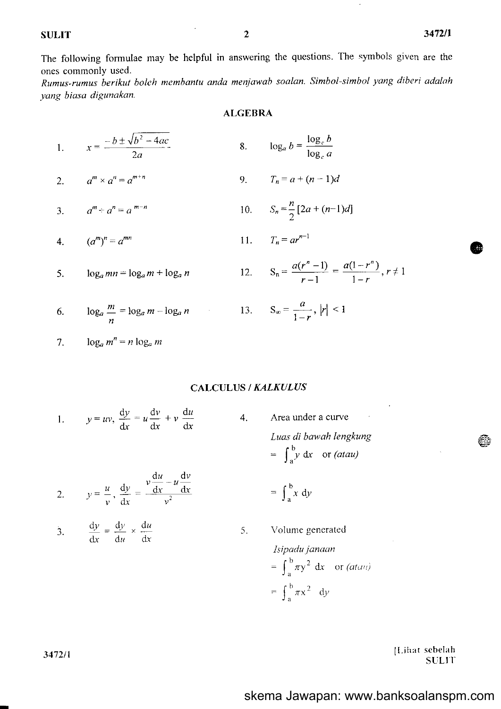The following formulae may be helpful in answering the questions. The symbols given are the ones commonly used.

Rumus-rumus berikut boleh membantu anda menjawab soalan. Simbol-simbol yang diberi adalah yang biasa digunakan.

#### **ALGEBRA**

1. 
$$
x = \frac{-b \pm \sqrt{b^2 - 4ac}}{2a}
$$
 8. 
$$
\log_a b = \frac{\log_c b}{\log_c a}
$$

2. 
$$
a^m \times a^n = a^{m+n}
$$
 9.  $T_n = a + (n-1)d$ 

3. 
$$
a^m \div a^n = a^{m-n}
$$
 10.  $S_n = \frac{n}{2} [2a + (n-1)d]$ 

4. 
$$
(a^m)^n = a^{mn}
$$
 11.  $T_n = ar^{n-1}$ 

$$
5. \qquad \log_a mn = \log_a m + \log_a n
$$

6. 
$$
\log_a \frac{m}{n} = \log_a m - \log_a n
$$

13. 
$$
S_{\infty} = \frac{a}{1 - r}, |r| < 1
$$

 $S_n = \frac{a(r^n - 1)}{r - 1} = \frac{a(1 - r^n)}{1 - r}, r \neq 1$ 

7. 
$$
\log_a m^n = n \log_a m
$$

## **CALCULUS / KALKULUS**

4.

5.

 $12.$ 

1. 
$$
y = uv
$$
,  $\frac{dy}{dx} = u \frac{dv}{dx} + v \frac{du}{dx}$ 

Area under a curve Luas di bawah lengkung  $= \int_{a}^{b} y \, dx$  or *(atau)* 

 $=\int_{a}^{b} x dy$ 

2. 
$$
y = \frac{u}{v}, \frac{dy}{dx} = \frac{v \frac{du}{dx} - u \frac{dv}{dx}}{v^2}
$$

3. 
$$
\frac{dy}{dx} = \frac{dy}{du} \times \frac{du}{dx}
$$

Volume generated Isipadu janaan =  $\int_{a}^{b} \pi y^2 dx$  or *(atau)*  $=\int_{a}^{b} \pi x^{2} dy$ 

> [Lihat sebelah] **SULIT**

€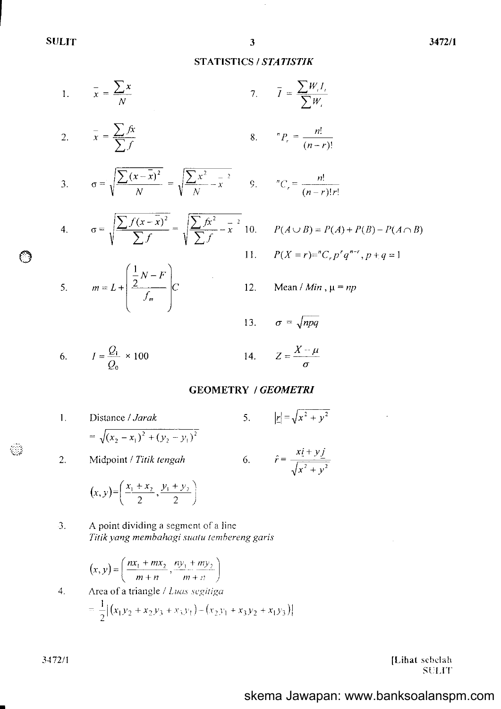## STATISTICS /STATISTIK

$$
1. \qquad \frac{-}{x} = \frac{\sum x}{N} \qquad \qquad 7.
$$

2. 
$$
\overline{x} = \frac{\sum fx}{\sum f}
$$
 8.  ${}^nP_r = \frac{n!}{(n-r)!}$ 

3. 
$$
\sigma = \sqrt{\frac{\sum (x - \bar{x})^2}{N}} = \sqrt{\frac{\sum x^2}{N} - \bar{x}^2} = 9.
$$

4. 
$$
\sigma = \sqrt{\frac{\sum f(x - \bar{x})^2}{\sum f}} = \sqrt{\frac{\sum fx^2}{\sum f} - \bar{x}^2} \cdot 10.
$$

$$
{}^{n}C_{r} = \frac{n!}{(n-r)!r!}
$$

Mean / Min,  $\mu = np$ 

 $\overline{l} = \frac{\sum W}{\sum W}$ 

$$
\sigma = \sqrt{\frac{\sum f(x - \overline{x})^2}{\sum f}} = \sqrt{\frac{\sum fx^2}{\sum f} - \overline{x}^2} \cdot 10.
$$

$$
P(A \cup B) = P(A) + P(B) - P(A \cap B)
$$
  

$$
P(X = r) = {^{n}C}_{r} p^{r} q^{n-r}, p+q = 1
$$

12.  $\left(\frac{1}{2}N-F\right)$ 5.  $m = L + \frac{2}{c}$  |  $C$  $\langle$   $\rangle$ 

13. 
$$
\sigma = \sqrt{npq}
$$

$$
I = \frac{Q_1}{Q_0} \times 100
$$

$$
Z=\frac{X-\mu}{\sigma}
$$

### **GEOMETRY / GEOMETRI**

14.

- 2. l . Distance / Jarak 5.  $|\underline{r}| = \sqrt{x^2 + y^2}$ 6.  $\hat{r} = \frac{x\hat{i} + y}{\sqrt{2}}$  $=\sqrt{(x_2 - x_1)^2 + (y_2 - y_1)^2}$ Midpoint / Titik tengah  $(x,y) = \left(\frac{x_1 + x_2}{2}, \frac{y_1 + y_2}{2}\right)$
- 3. A point dividing a segment of a line Titik yang membahagi suatu tembereng garis

$$
(x, y) = \left(\frac{nx_1 + mx_2}{m+n}, \frac{ny_1 + my_2}{m+n}\right)
$$

4. Area of a triangle / L*uas segitiga*  
= 
$$
\frac{1}{2} |(x_1y_2 + x_2y_3 + x_3y_1) - (x_2y_1 + x_3y_2 + x_1y_3)|
$$

[Lihat sebelah **SULIT** 

÷.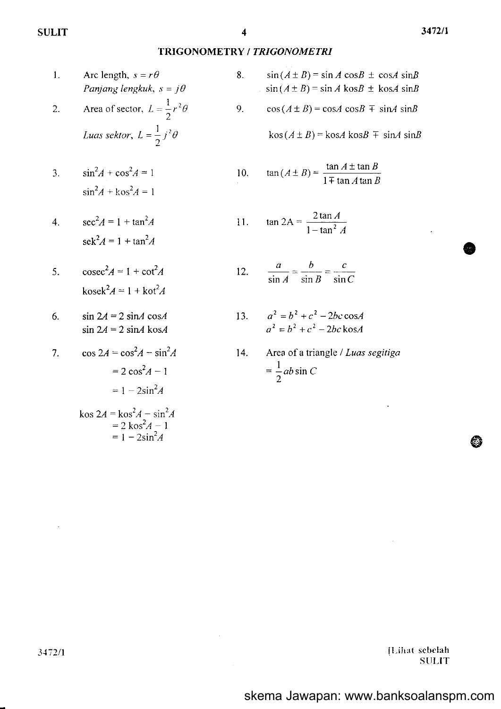$\overline{2}$ .

## TRIGONOMETRY / TRIGONOMETRI

8.

9.

- $1.$ Arc length,  $s = r\theta$ Panjang lengkuk,  $s = j\theta$ 
	- Area of sector,  $L = \frac{1}{2}r^2\theta$ Luas sektor,  $L = \frac{1}{2} j^2 \theta$
- $\sin^2 A + \cos^2 A = 1$  $\overline{3}$ .  $1<sup>1</sup>$ k,  $\sin^2 A + \cos^2 A = 1$
- $sec^{2} A = 1 + tan^{2} A$  $\overline{4}$ .  $11$  $sek<sup>2</sup>A = 1 + tan<sup>2</sup>A$
- $\csc^2 A = 1 + \cot^2 A$ 5.  $\mathbf{1}$  $\text{kosek}^2 A = 1 + \text{kot}^2 A$
- $\sin 2A = 2 \sin A \cos A$ 6.  $\sin 2A = 2 \sin A \cos A$
- $\cos 2A = \cos^2 A \sin^2 A$ 7.  $= 2 \cos^2 A - 1$  $= 1 - 2\sin^2 A$ kos  $2A = k \cos^2 A - \sin^2 A$ <br>= 2 kos<sup>2</sup>A - 1<br>= 1 - 2sin<sup>2</sup>A
- $sin(A \pm B) = sin A cos B \pm cos A sin B$  $sin(A \pm B) = sin A$  kos $B \pm k$ os $A$  sin $B$
- $cos(A \pm B) = cosA cosB \mp sinA sinB$

 $\cos(A \pm B) = \cos A \cos B \mp \sin A \sin B$ 

0. 
$$
\tan(A \pm B) = \frac{\tan A \pm \tan B}{1 \mp \tan A \tan B}
$$

$$
\tan 2A = \frac{2 \tan A}{1 - \tan^2 A}
$$

2. 
$$
\frac{a}{\sin A} = \frac{b}{\sin B} = \frac{c}{\sin C}
$$

- $a^2 = b^2 + c^2 2bc \cos A$  $13.$  $a^2 = b^2 + c^2 - 2bc \cos A$
- Area of a triangle / Luas segitiga  $14.$  $=\frac{1}{2}ab\sin C$

[Lihat sebelah **SULIT**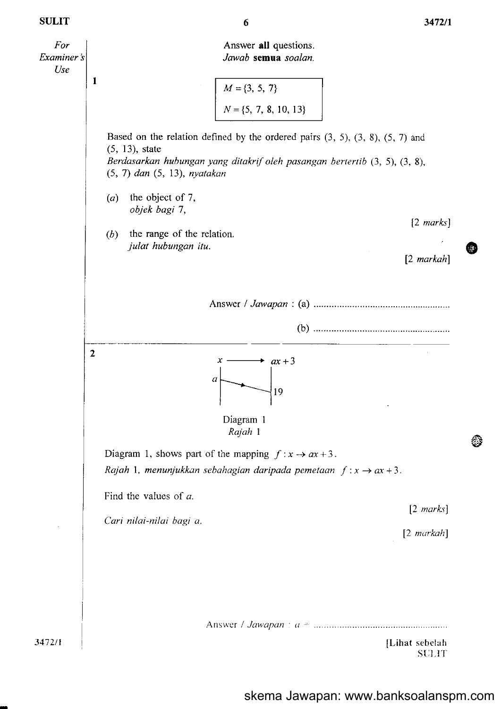3472/1

63



6

skema Jawapan: www.banksoalanspm.com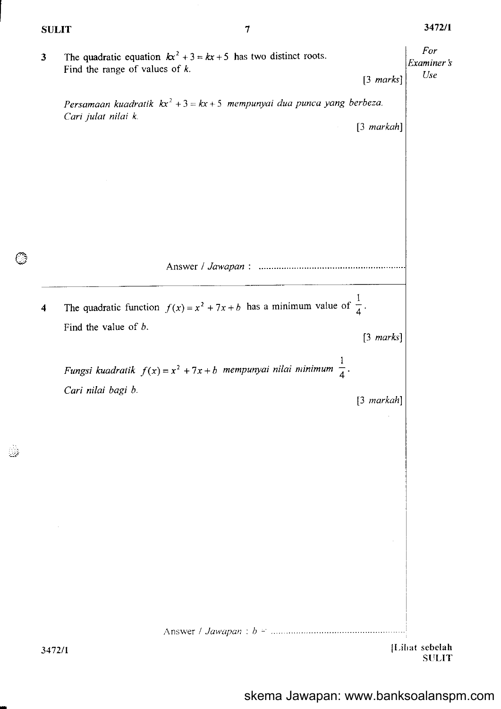$\mathbb{C}^3$ 

 $\begin{array}{c} \frac{\partial \lambda}{\partial x^2} \\ \frac{\partial \lambda}{\partial y^2} \end{array}$ 

| $\mathbf{3}$ | The quadratic equation $kx^2 + 3 = kx + 5$ has two distinct roots.<br>Find the range of values of $k$ .<br>Persamaan kuadratik $kx^2 + 3 = kx + 5$ mempunyai dua punca yang berbeza.<br>Cari julat nilai k | $[3 \text{ marks}]$<br>$[3$ markah] | For<br>Examiner s<br>Use       |
|--------------|------------------------------------------------------------------------------------------------------------------------------------------------------------------------------------------------------------|-------------------------------------|--------------------------------|
|              |                                                                                                                                                                                                            |                                     |                                |
| 4            | The quadratic function $f(x) = x^2 + 7x + b$ has a minimum value of $\frac{1}{4}$ .                                                                                                                        |                                     |                                |
|              | Find the value of $b$ .                                                                                                                                                                                    | $[3 \text{ marks}]$                 |                                |
|              | Fungsi kuadratik $f(x) = x^2 + 7x + b$ mempunyai nilai minimum $\frac{1}{4}$ .                                                                                                                             |                                     |                                |
|              | Cari nilai bagi b.                                                                                                                                                                                         | $[3$ markah]                        |                                |
|              |                                                                                                                                                                                                            |                                     |                                |
|              |                                                                                                                                                                                                            |                                     |                                |
|              |                                                                                                                                                                                                            |                                     |                                |
| 3472/1       |                                                                                                                                                                                                            |                                     | [Lihat sebelah<br><b>SULIT</b> |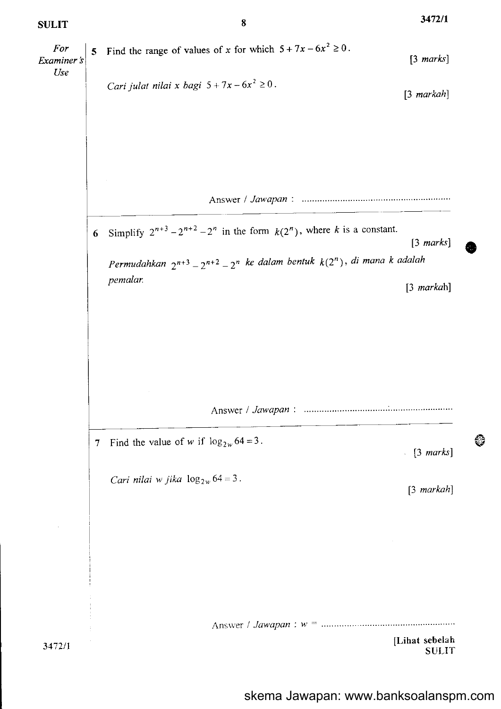5 Find the range of values of x for which  $5 + 7x - 6x^2 \ge 0$ . For [3 marks] Examiner's Use Cari julat nilai x bagi  $5 + 7x - 6x^2 \ge 0$ . [3 markah] Answer / Jau aPan . 6 Simplify  $2^{n+3} - 2^{n+2} - 2^n$  in the form  $k(2^n)$ , where k is a constant. [3 marks] Permudahkan  $2^{n+3} - 2^{n+2} - 2^n$  ke dalam bentuk  $k(2^n)$ , di mana k adalah pemalar. [3 markah] Answer / JawaPan '. 7 Find the value of w if  $\log_{2w} 64 = 3$ .  $\lceil 3 \text{ marks} \rceil$ Cari nilai w jika  $\log_{2w} 64 = 3$ . [3 markah] [Lihat sebelah  $3472/1$  SULIT

8

3472/1

EI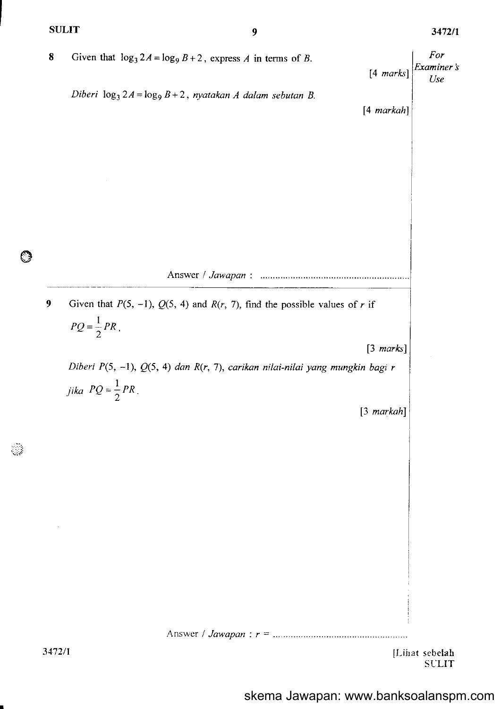$\odot$ 

 $\mathbb{C}^3$ 

| 8      | Given that $\log_3 2A = \log_9 B + 2$ , express A in terms of B.<br>$[4 \text{ marks}]$                      | For<br>$\begin{array}{c} Examiner\ \textit{i}\\ Use \end{array}$ |
|--------|--------------------------------------------------------------------------------------------------------------|------------------------------------------------------------------|
|        | Diberi $\log_3 2A = \log_9 B + 2$ , nyatakan A dalam sebutan B.<br>[4 markah]                                |                                                                  |
|        |                                                                                                              |                                                                  |
|        |                                                                                                              |                                                                  |
|        |                                                                                                              |                                                                  |
|        |                                                                                                              |                                                                  |
| 9      | Given that $P(5, -1)$ , $Q(5, 4)$ and $R(r, 7)$ , find the possible values of r if<br>$PQ = \frac{1}{2}PR$ . |                                                                  |
|        | $[3 \text{ marks}]$                                                                                          |                                                                  |
|        | Diberi $P(5, -1), Q(5, 4)$ dan $R(r, 7)$ , carikan nilai-nilai yang mungkin bagi r                           |                                                                  |
|        | <i>jika</i> $PQ = \frac{1}{2}PR$ .                                                                           |                                                                  |
|        | $[3$ markah]                                                                                                 |                                                                  |
|        |                                                                                                              |                                                                  |
|        |                                                                                                              |                                                                  |
|        |                                                                                                              |                                                                  |
|        |                                                                                                              |                                                                  |
|        |                                                                                                              |                                                                  |
|        |                                                                                                              |                                                                  |
|        |                                                                                                              |                                                                  |
|        |                                                                                                              |                                                                  |
|        |                                                                                                              |                                                                  |
|        |                                                                                                              |                                                                  |
| 3477/1 |                                                                                                              | II ihat cahalah                                                  |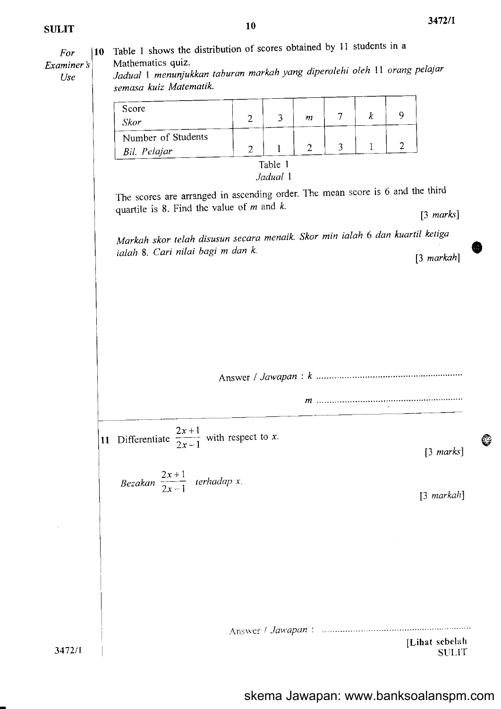o

 $\mathbf{\large \circ}$ 

10 Table 1 shows the distribution of scores obtained by 11 students in a For Mathematics quiz. Examiner 's Jaduat I menunjukkan laburan markah yang diperolehi oleh ll orang pelajar Use semasa kuiz Matematik. Score 9  $\overline{7}$  $\boldsymbol{k}$  $\overline{2}$  $\overline{3}$  $\boldsymbol{m}$ Skor Number of Students  $\overline{2}$  $\overline{2}$  $\overline{\mathbf{3}}$  $\mathbf{1}$  $\overline{2}$  $\mathbf{1}$ Bil. Pelajar Table 1 Jadual I The scores are arranged in ascending order. The mean score is 6 and the third quartile is 8. Find the value of  $m$  and  $k$ .  $[3 \text{ marks}]$ Markoh skor telah disusun secara menaik' Skor min ialah 6 dan kuartil ketigo ialah 8. Cari nilai bagi m dan k. [3 markah] Answer / JawaPan 11 Differentiate  $\frac{2x+1}{2x-1}$  with respect to x.  $[3 \text{ marks}]$ Bezakan  $\frac{2x+1}{2x-1}$  terhadap x. 13 markah) ,\nsrrcriJnt'aPun'. ILihat scbela h 3472/1 **SULIT**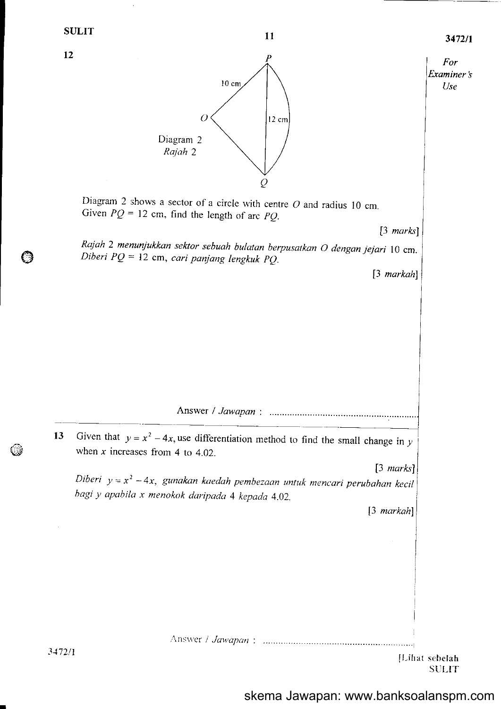$11$   $3472/1$ 



skema Jawapan: www.banksoalanspm.com

**SULIT** 

3172/l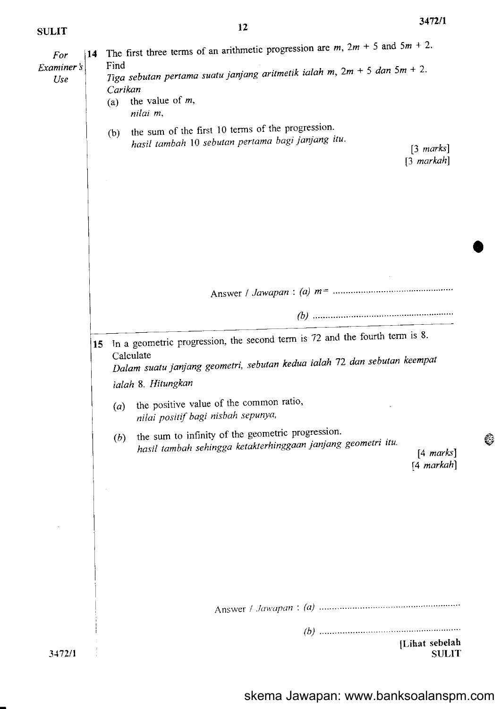o

 $\mathbb{G}$ 

| For               | The first three terms of an arithmetic progression are $m$ , $2m + 5$ and $5m + 2$ .<br>14                                                                                                       |
|-------------------|--------------------------------------------------------------------------------------------------------------------------------------------------------------------------------------------------|
| Examiner's<br>Use | Find<br>Tiga sebutan pertama suatu janjang aritmetik ialah m, $2m + 5$ dan $5m + 2$ .<br>Carikan                                                                                                 |
|                   | the value of $m$ ,<br>(a)<br>nilai m,                                                                                                                                                            |
|                   | the sum of the first 10 terms of the progression.<br>(b)<br>hasil tambah 10 sebutan pertama bagi janjang itu.<br>$[3 \text{ marks}]$<br>$[3$ markah]                                             |
|                   |                                                                                                                                                                                                  |
|                   |                                                                                                                                                                                                  |
|                   |                                                                                                                                                                                                  |
|                   |                                                                                                                                                                                                  |
|                   |                                                                                                                                                                                                  |
|                   | In a geometric progression, the second term is 72 and the fourth term is 8.<br>15<br>Calculate<br>Dalam suatu janjang geometri, sebutan kedua ialah 72 dan sebutan keempat<br>ialah 8. Hitungkan |
|                   | the positive value of the common ratio,<br>(a)<br>nilai positif bagi nisbah sepunya,                                                                                                             |
|                   | the sum to infinity of the geometric progression.<br>(b)<br>hasil tambah sehingga ketakterhinggaan janjang geometri itu.<br>$[4 \text{ marks}]$<br>[4 markah]                                    |
|                   |                                                                                                                                                                                                  |
|                   |                                                                                                                                                                                                  |
|                   |                                                                                                                                                                                                  |
|                   |                                                                                                                                                                                                  |
|                   | [Lihat sebelah                                                                                                                                                                                   |
| 3472/1            | <b>SULIT</b>                                                                                                                                                                                     |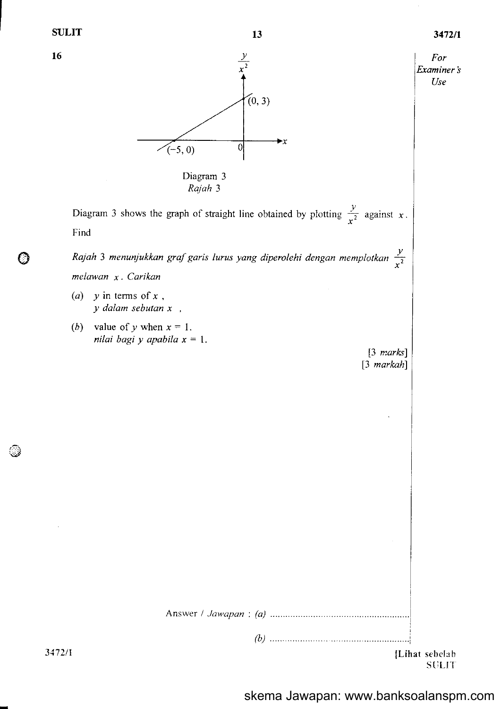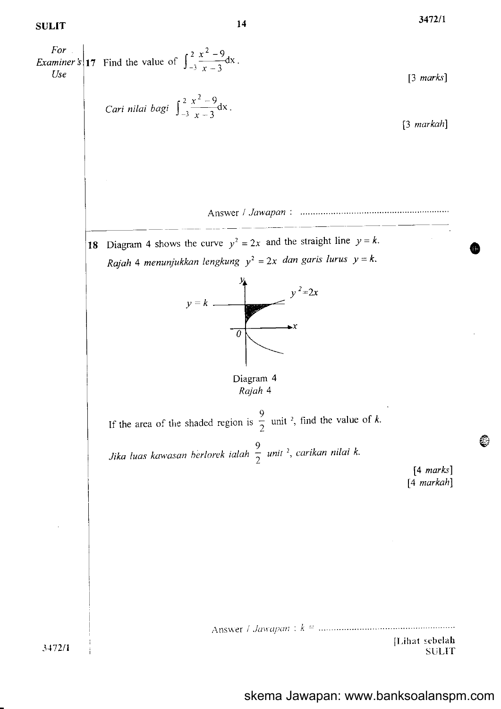34721r

€i

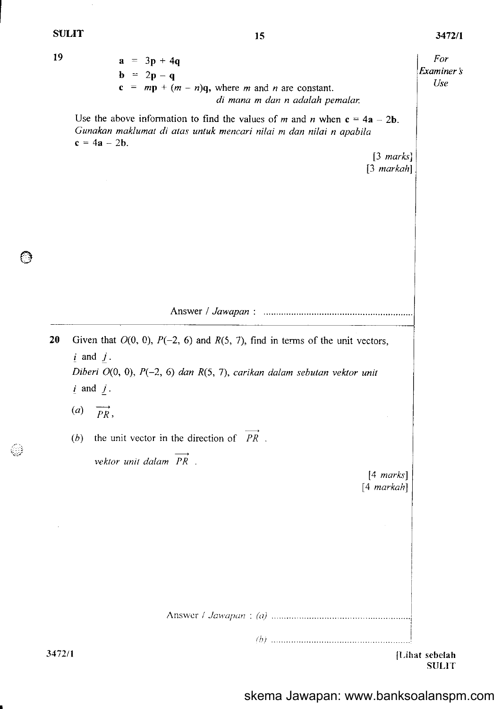l9  $a = 3p + 4q$ For Examiner's  $\mathbf{b} = 2\mathbf{p}-\mathbf{q}$ Use  $c = mp + (m - n)q$ , where m and n are constant. di mana m dan n adalah pemalar. Use the above information to find the values of m and n when  $c = 4a - 2b$ . Gunakan maklumat di atas untuk mencari nilai m dan nilai n apabila  $c = 4a - 2b$ . [3 marks] [3 markahl 20 Given that  $O(0, 0)$ ,  $P(-2, 6)$  and  $R(5, 7)$ , find in terms of the unit vectors,  $i$  and  $j$ . Diberi  $O(0, 0)$ ,  $P(-2, 6)$  dan  $R(5, 7)$ , carikan dalam sebutan vektor unit  $i$  and  $j$ .  $(a)$   $\overrightarrow{PR}$ , (b) the unit vector in the direction of  $PR$ . vektor unit dalam PR. [4 marks]  $[4$  markah] Answer / *Jawapan : (a)* 3472/1 {l-ihat sebelah **SULIT** 

skema Jawapan: www.banksoalanspm.com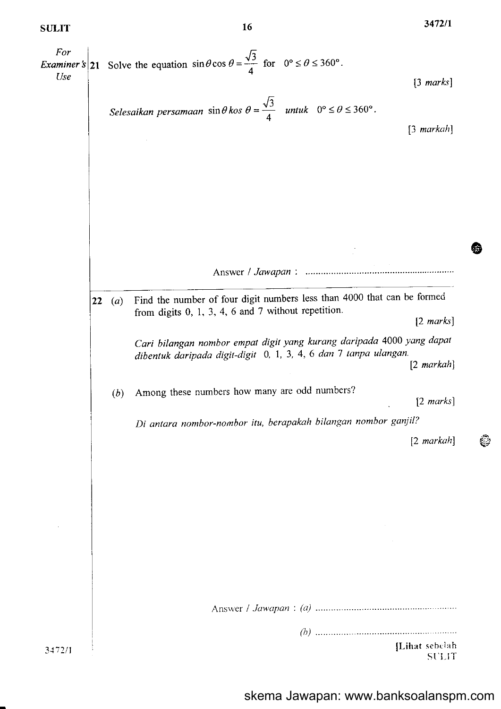For l; *Examiner* s 21 Solve the equation  $\sin\theta \cos \theta = \frac{\sqrt{3}}{4}$  for  $0^{\circ} \le \theta \le 360^{\circ}$ . Use  $[3 \text{ marks}]$ t; Selesaikan persamaan  $\sin\theta$  kos  $\theta$  = untuk  $0^{\circ} \leq \theta \leq 360^{\circ}$ . 4 [3 markah] (a) Find the number of four digit numbers less than  $4000$  that can be formed 22 from digits 0, 1, 3, 4, 6 and 7 without repetition. 12 marks) Cari bilangan nombor empot digit yang kurang daripada 4000 yang dapot dibentuk daripada digit-digit 0, 1, 3, 4, 6 dan 7 tanpa ulangan. [2 markah] (b) Among these numbers how many are odd numbers?  $[2 \text{ marks}]$ Di antara nombor-nombor itu, berapakah bilangan nombor ganjil? [2 markah] Answer / *Jawapan : (a)* (h) [Lihat sebelah 3472/1 ST'I-IT

l6

347211

@

وتج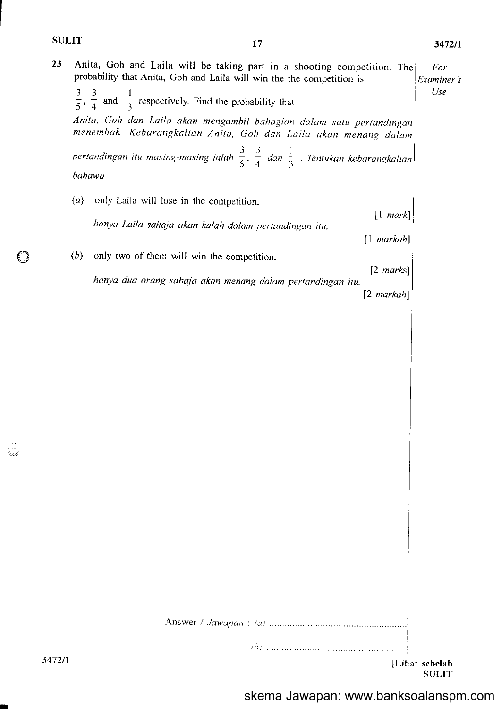$\odot$ 

I

 $\hat{\boldsymbol{\beta}}$ 

| 23     |                                                                                                                                                                                                                                    | Anita, Goh and Laila will be taking part in a shooting competition. The<br>probability that Anita, Goh and Laila will win the the competition is |                      | For<br>Examiner's<br>Use       |  |
|--------|------------------------------------------------------------------------------------------------------------------------------------------------------------------------------------------------------------------------------------|--------------------------------------------------------------------------------------------------------------------------------------------------|----------------------|--------------------------------|--|
|        | $\frac{3}{5}$ , $\frac{3}{4}$ and $\frac{1}{3}$ respectively. Find the probability that<br>Anita, Goh dan Laila akan mengambil bahagian dalam satu pertandingan<br>menembak. Kebarangkalian Anita, Goh dan Laila akan menang dalam |                                                                                                                                                  |                      |                                |  |
|        |                                                                                                                                                                                                                                    |                                                                                                                                                  |                      |                                |  |
|        | pertandingan itu masing-masing ialah $\frac{3}{5}$ , $\frac{3}{4}$ dan $\frac{1}{3}$ . Tentukan kebarangkalian                                                                                                                     |                                                                                                                                                  |                      |                                |  |
|        | bahawa                                                                                                                                                                                                                             |                                                                                                                                                  |                      |                                |  |
|        | (a)                                                                                                                                                                                                                                | only Laila will lose in the competition,                                                                                                         |                      | $[1 \text{ mark}]$             |  |
|        |                                                                                                                                                                                                                                    | hanya Laila sahaja akan kalah dalam pertandingan itu,                                                                                            |                      |                                |  |
|        | ( <i>b</i> )                                                                                                                                                                                                                       | only two of them will win the competition.                                                                                                       |                      | $[1$ markah]                   |  |
|        |                                                                                                                                                                                                                                    | $[2 \text{ marks}]$<br>hanya dua orang sahaja akan menang dalam pertandingan itu.                                                                |                      |                                |  |
|        |                                                                                                                                                                                                                                    |                                                                                                                                                  | $[2 \text{ markah}]$ |                                |  |
|        |                                                                                                                                                                                                                                    |                                                                                                                                                  |                      |                                |  |
|        |                                                                                                                                                                                                                                    |                                                                                                                                                  |                      |                                |  |
|        |                                                                                                                                                                                                                                    |                                                                                                                                                  |                      |                                |  |
|        |                                                                                                                                                                                                                                    |                                                                                                                                                  |                      |                                |  |
|        |                                                                                                                                                                                                                                    |                                                                                                                                                  |                      |                                |  |
|        |                                                                                                                                                                                                                                    |                                                                                                                                                  |                      |                                |  |
|        |                                                                                                                                                                                                                                    |                                                                                                                                                  |                      |                                |  |
|        |                                                                                                                                                                                                                                    |                                                                                                                                                  |                      |                                |  |
|        |                                                                                                                                                                                                                                    |                                                                                                                                                  |                      |                                |  |
|        |                                                                                                                                                                                                                                    |                                                                                                                                                  |                      |                                |  |
|        |                                                                                                                                                                                                                                    |                                                                                                                                                  |                      |                                |  |
|        |                                                                                                                                                                                                                                    |                                                                                                                                                  |                      |                                |  |
|        |                                                                                                                                                                                                                                    |                                                                                                                                                  |                      |                                |  |
|        |                                                                                                                                                                                                                                    |                                                                                                                                                  |                      |                                |  |
|        |                                                                                                                                                                                                                                    |                                                                                                                                                  |                      |                                |  |
|        |                                                                                                                                                                                                                                    |                                                                                                                                                  |                      |                                |  |
| 3472/1 |                                                                                                                                                                                                                                    |                                                                                                                                                  |                      | [Lihat sebelah<br><b>SULIT</b> |  |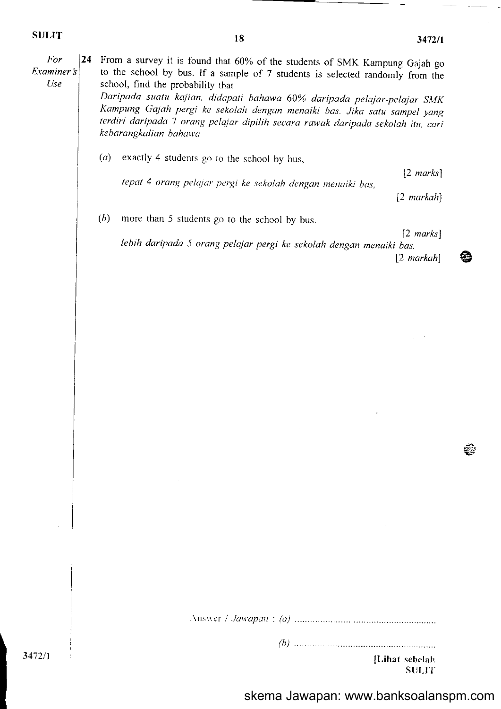€₿.

€

| For<br>Examiner's<br><b>Use</b> | 24 | From a survey it is found that 60% of the students of SMK Kampung Gajah go<br>to the school by bus. If a sample of 7 students is selected randomly from the<br>school, find the probability that<br>Daripada suatu kajian, didapati bahawa 60% daripada pelajar-pelajar SMK<br>Kampung Gajah pergi ke sekolah dengan menaiki bas. Jika satu sampel yang<br>terdiri daripada 7 orang pelajar dipilih secara rawak daripada sekolah itu, cari<br>kebarangkalian bahawa |                                             |  |
|---------------------------------|----|----------------------------------------------------------------------------------------------------------------------------------------------------------------------------------------------------------------------------------------------------------------------------------------------------------------------------------------------------------------------------------------------------------------------------------------------------------------------|---------------------------------------------|--|
|                                 |    | (a)<br>exactly 4 students go to the school by bus,                                                                                                                                                                                                                                                                                                                                                                                                                   |                                             |  |
|                                 |    | tepat 4 orang pelajar pergi ke sekolah dengan menaiki bas,                                                                                                                                                                                                                                                                                                                                                                                                           | $[2 \text{ marks}]$                         |  |
|                                 |    |                                                                                                                                                                                                                                                                                                                                                                                                                                                                      | $[2 \text{ } markah]$                       |  |
|                                 |    | ( <i>b</i> )<br>more than 5 students go to the school by bus.                                                                                                                                                                                                                                                                                                                                                                                                        |                                             |  |
|                                 |    | lebih daripada 5 orang pelajar pergi ke sekolah dengan menaiki bas.                                                                                                                                                                                                                                                                                                                                                                                                  | $[2 \text{ marks}]$<br>$[2 \text{ markah}]$ |  |
|                                 |    |                                                                                                                                                                                                                                                                                                                                                                                                                                                                      |                                             |  |
| 3472/1                          |    |                                                                                                                                                                                                                                                                                                                                                                                                                                                                      | [Lihat sebelah<br><b>SULIT</b>              |  |
|                                 |    |                                                                                                                                                                                                                                                                                                                                                                                                                                                                      |                                             |  |

skema Jawapan: www.banksoalanspm.com